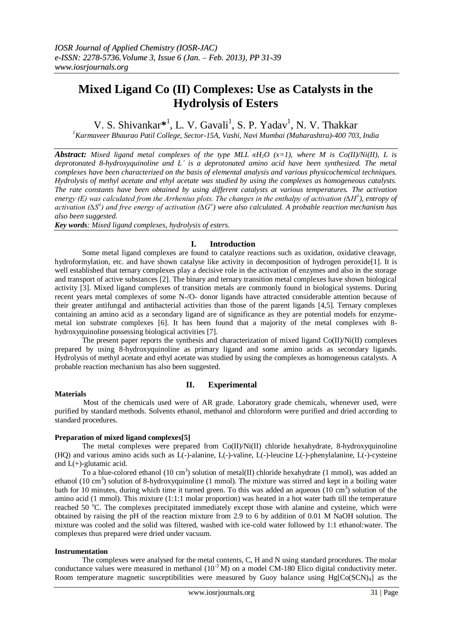# **Mixed Ligand Co (II) Complexes: Use as Catalysts in the Hydrolysis of Esters**

V. S. Shivankar<sup>\*1</sup>, L. V. Gavali<sup>1</sup>, S. P. Yadav<sup>1</sup>, N. V. Thakkar

*<sup>1</sup>Karmaveer Bhaurao Patil College, Sector-15A, Vashi, Navi Mumbai (Maharashtra)-400 703, India*

*Abstract: Mixed ligand metal complexes of the type MLL ' xH2O (x=1), where M is Co(II)/Ni(II), L is deprotonated 8-hydroxyquinoline and L' is a deprotonated amino acid have been synthesized. The metal complexes have been characterized on the basis of elemental analysis and various physicochemical techniques. Hydrolysis of methyl acetate and ethyl acetate was studied by using the complexes as homogeneous catalysts. The rate constants have been obtained by using different catalysts at various temperatures. The activation energy (E) was calculated from the Arrhenius plots. The changes in the enthalpy of activation (∆H<sup>≠</sup> ), entropy of activation (∆S<sup>≠</sup> ) and free energy of activation (∆G<sup>≠</sup> ) were also calculated. A probable reaction mechanism has also been suggested.* 

*Key words: Mixed ligand complexes, hydrolysis of esters.*

## **I. Introduction**

Some metal ligand complexes are found to catalyze reactions such as oxidation, oxidative cleavage, hydroformylation, etc. and have shown catalyse like activity in decomposition of hydrogen peroxide[1]. It is well established that ternary complexes play a decisive role in the activation of enzymes and also in the storage and transport of active substances [2]. The binary and ternary transition metal complexes have shown biological activity [3]. Mixed ligand complexes of transition metals are commonly found in biological systems. During recent years metal complexes of some N-/O- donor ligands have attracted considerable attention because of their greater antifungal and antibacterial activities than those of the parent ligands [4,5]. Ternary complexes containing an amino acid as a secondary ligand are of significance as they are potential models for enzymemetal ion substrate complexes [6]. It has been found that a majority of the metal complexes with 8 hydroxyquinoline possessing biological activities [7].

The present paper reports the synthesis and characterization of mixed ligand  $Co(II)/Ni(II)$  complexes prepared by using 8-hydroxyquinoline as primary ligand and some amino acids as secondary ligands. Hydrolysis of methyl acetate and ethyl acetate was studied by using the complexes as homogeneous catalysts. A probable reaction mechanism has also been suggested.

## **Materials**

# **II. Experimental**

Most of the chemicals used were of AR grade. Laboratory grade chemicals, whenever used, were purified by standard methods. Solvents ethanol, methanol and chloroform were purified and dried according to standard procedures.

## **Preparation of mixed ligand complexes[5]**

The metal complexes were prepared from Co(II)/Ni(II) chloride hexahydrate, 8-hydroxyquinoline (HQ) and various amino acids such as L(-)-alanine, L(-)-valine, L(-)-leucine L(-)-phenylalanine, L(-)-cysteine and L(+)-glutamic acid.

To a blue-colored ethanol (10 cm<sup>3</sup>) solution of metal(II) chloride hexahydrate (1 mmol), was added an ethanol (10 cm<sup>3</sup>) solution of 8-hydroxyquinoline (1 mmol). The mixture was stirred and kept in a boiling water bath for 10 minutes, during which time it turned green. To this was added an aqueous  $(10 \text{ cm}^3)$  solution of the amino acid (1 mmol). This mixture (1:1:1 molar proportion) was heated in a hot water bath till the temperature reached 50 °C. The complexes precipitated immediately except those with alanine and cysteine, which were obtained by raising the pH of the reaction mixture from 2.9 to 6 by addition of 0.01 M NaOH solution. The mixture was cooled and the solid was filtered, washed with ice-cold water followed by 1:1 ethanol:water. The complexes thus prepared were dried under vacuum.

## **Instrumentation**

The complexes were analysed for the metal contents, C, H and N using standard procedures. The molar conductance values were measured in methanol  $(10^{-3} M)$  on a model CM-180 Elico digital conductivity meter. Room temperature magnetic susceptibilities were measured by Guoy balance using Hg[Co(SCN)<sub>4</sub>] as the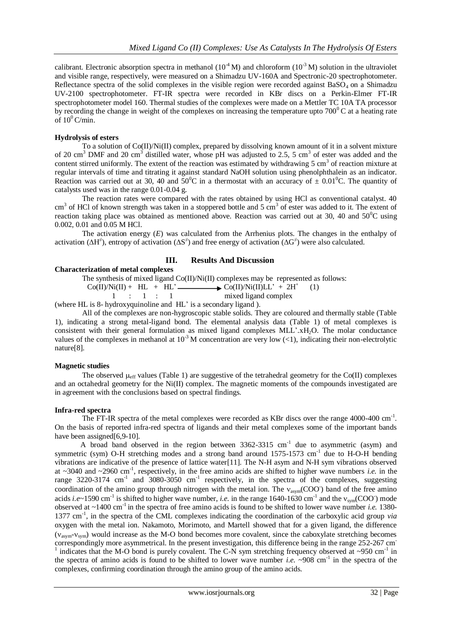calibrant. Electronic absorption spectra in methanol ( $10^{-4}$  M) and chloroform ( $10^{-3}$  M) solution in the ultraviolet and visible range, respectively, were measured on a Shimadzu UV-160A and Spectronic-20 spectrophotometer. Reflectance spectra of the solid complexes in the visible region were recorded against  $BaSO<sub>4</sub>$  on a Shimadzu UV-2100 spectrophotometer. FT-IR spectra were recorded in KBr discs on a Perkin-Elmer FT-IR spectrophotometer model 160. Thermal studies of the complexes were made on a Mettler TC 10A TA processor by recording the change in weight of the complexes on increasing the temperature upto  $700^{\circ}$ C at a heating rate of  $10^0$  C/min.

#### **Hydrolysis of esters**

To a solution of  $Co(II)/Ni(II)$  complex, prepared by dissolving known amount of it in a solvent mixture of 20 cm<sup>3</sup> DMF and 20 cm<sup>3</sup> distilled water, whose pH was adjusted to 2.5, 5 cm<sup>3</sup> of ester was added and the content stirred uniformly. The extent of the reaction was estimated by withdrawing  $5 \text{ cm}^3$  of reaction mixture at regular intervals of time and titrating it against standard NaOH solution using phenolphthalein as an indicator. Reaction was carried out at 30, 40 and 50<sup>o</sup>C in a thermostat with an accuracy of  $\pm$  0.01<sup>o</sup>C. The quantity of catalysts used was in the range 0.01-0.04 g.

The reaction rates were compared with the rates obtained by using HCl as conventional catalyst. 40 cm<sup>3</sup> of HCl of known strength was taken in a stoppered bottle and 5 cm<sup>3</sup> of ester was added to it. The extent of reaction taking place was obtained as mentioned above. Reaction was carried out at 30, 40 and  $50^{\circ}$ C using 0.002, 0.01 and 0.05 M HCl.

The activation energy (*E*) was calculated from the Arrhenius plots. The changes in the enthalpy of activation ( $\Delta H^{\neq}$ ), entropy of activation ( $\Delta S^{\neq}$ ) and free energy of activation ( $\Delta G^{\neq}$ ) were also calculated.

## **III. Results And Discussion**

## **Characterization of metal complexes**

The synthesis of mixed ligand Co(II)/Ni(II) complexes may be represented as follows:  $Co(II)/Ni(II) + HL + HL' \longrightarrow Co(II)/Ni(II)LL' + 2H^{+}$ <br>  $1 : 1 : 1$  mixed ligand complex (1) 1 : 1 : 1 mixed ligand complex (where HL is 8- hydroxyquinoline and HL' is a secondary ligand ).

All of the complexes are non-hygroscopic stable solids. They are coloured and thermally stable (Table 1), indicating a strong metal-ligand bond. The elemental analysis data (Table 1) of metal complexes is consistent with their general formulation as mixed ligand complexes MLL'.xH2O. The molar conductance values of the complexes in methanol at  $10^{-3}$  M concentration are very low (<1), indicating their non-electrolytic nature[8].

## **Magnetic studies**

The observed  $\mu_{\text{eff}}$  values (Table 1) are suggestive of the tetrahedral geometry for the Co(II) complexes and an octahedral geometry for the Ni(II) complex. The magnetic moments of the compounds investigated are in agreement with the conclusions based on spectral findings.

#### **Infra-red spectra**

The FT-IR spectra of the metal complexes were recorded as KBr discs over the range 4000-400 cm<sup>-1</sup>. On the basis of reported infra-red spectra of ligands and their metal complexes some of the important bands have been assigned[6,9-10].

A broad band observed in the region between  $3362-3315$  cm<sup>-1</sup> due to asymmetric (asym) and symmetric (sym) O-H stretching modes and a strong band around 1575-1573 cm<sup>-1</sup> due to H-O-H bending vibrations are indicative of the presence of lattice water[11]. The N-H asym and N-H sym vibrations observed at ~3040 and ~2960 cm<sup>-1</sup>, respectively, in the free amino acids are shifted to higher wave numbers *i.e.* in the range 3220-3174 cm<sup>-1</sup> and 3080-3050 cm<sup>-1</sup> respectively, in the spectra of the complexes, suggesting coordination of the amino group through nitrogen with the metal ion. The  $v_{asym}(COO)$  band of the free amino acids *i.e*~1590 cm<sup>-1</sup> is shifted to higher wave number, *i.e.* in the range 1640-1630 cm<sup>-1</sup> and the  $v_{sym}(COO)$  mode observed at ~1400 cm-1 in the spectra of free amino acids is found to be shifted to lower wave number *i.e.* 1380- 1377 cm<sup>-1</sup>, in the spectra of the CML complexes indicating the coordination of the carboxylic acid group *via* oxygen with the metal ion. Nakamoto, Morimoto, and Martell showed that for a given ligand, the difference  $(v_{asym}-v_{sym})$  would increase as the M-O bond becomes more covalent, since the caboxylate stretching becomes correspondingly more asymmetrical. In the present investigation, this difference being in the range 252-267 cm<sup>-</sup> 1 indicates that the M-O bond is purely covalent. The C-N sym stretching frequency observed at  $\sim$ 950 cm<sup>-1</sup> in the spectra of amino acids is found to be shifted to lower wave number *i.e.*  $\sim$ 908 cm<sup>-1</sup> in the spectra of the complexes, confirming coordination through the amino group of the amino acids.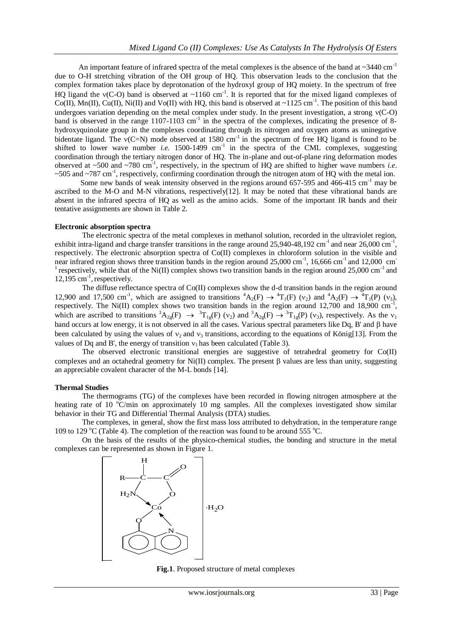An important feature of infrared spectra of the metal complexes is the absence of the band at  $\sim$ 3440 cm<sup>-1</sup> due to O-H stretching vibration of the OH group of HQ. This observation leads to the conclusion that the complex formation takes place by deprotonation of the hydroxyl group of HQ moiety. In the spectrum of free HQ ligand the  $v(C-O)$  band is observed at  $\sim$ 1160 cm<sup>-1</sup>. It is reported that for the mixed ligand complexes of Co(II), Mn(II), Cu(II), Ni(II) and Vo(II) with HQ, this band is observed at ~1125 cm<sup>-1</sup>. The position of this band undergoes variation depending on the metal complex under study. In the present investigation, a strong  $v(C-O)$ band is observed in the range  $1107-1103$  cm<sup>-1</sup> in the spectra of the complexes, indicating the presence of 8hydroxyquinolate group in the complexes coordinating through its nitrogen and oxygen atoms as uninegative bidentate ligand. The  $v(C=N)$  mode observed at 1580 cm<sup>-1</sup> in the spectrum of free HQ ligand is found to be shifted to lower wave number *i.e.* 1500-1499  $cm^{-1}$  in the spectra of the CML complexes, suggesting coordination through the tertiary nitrogen donor of HQ. The in-plane and out-of-plane ring deformation modes observed at ~500 and ~780 cm<sup>-1</sup>, respectively, in the spectrum of HQ are shifted to higher wave numbers *i.e.* ~505 and ~787 cm<sup>-1</sup>, respectively, confirming coordination through the nitrogen atom of HQ with the metal ion.

Some new bands of weak intensity observed in the regions around  $657-595$  and  $466-415$  cm<sup>-1</sup> may be ascribed to the M-O and M-N vibrations, respectively[12]. It may be noted that these vibrational bands are absent in the infrared spectra of HQ as well as the amino acids. Some of the important IR bands and their tentative assignments are shown in Table 2.

## **Electronic absorption spectra**

The electronic spectra of the metal complexes in methanol solution, recorded in the ultraviolet region, exhibit intra-ligand and charge transfer transitions in the range around  $25,940-48,192$  cm<sup>-1</sup> and near  $26,000$  cm<sup>-1</sup>, respectively. The electronic absorption spectra of Co(II) complexes in chloroform solution in the visible and near infrared region shows three transition bands in the region around 25,000 cm<sup>-1</sup>, 16,666 cm<sup>-1</sup> and 12,000 cm<sup>-1</sup> <sup>1</sup> respectively, while that of the Ni(II) complex shows two transition bands in the region around 25,000 cm<sup>-1</sup> and  $12,195$  cm<sup>-1</sup>, respectively.

The diffuse reflectance spectra of Co(II) complexes show the d-d transition bands in the region around 12,900 and 17,500 cm<sup>-1</sup>, which are assigned to transitions  ${}^4A_2(F) \rightarrow {}^4T_1(F)$  (v<sub>2</sub>) and  ${}^4A_2(F) \rightarrow {}^4T_1(P)$  (v<sub>3</sub>), respectively. The Ni(II) complex shows two transition bands in the region around 12,700 and 18,900 cm-1 , which are ascribed to transitions  ${}^{3}A_{2g}(F) \rightarrow {}^{3}T_{1g}(F)$  ( $v_2$ ) and  ${}^{3}A_{2g}(F) \rightarrow {}^{3}T_{1g}(P)$  ( $v_3$ ), respectively. As the  $v_1$ band occurs at low energy, it is not observed in all the cases. Various spectral parameters like Dq, B' and  $\beta$  have been calculated by using the values of  $v_2$  and  $v_3$  transitions, according to the equations of König[13]. From the values of Dq and B', the energy of transition  $v_1$  has been calculated (Table 3).

The observed electronic transitional energies are suggestive of tetrahedral geometry for Co(II) complexes and an octahedral geometry for  $Ni(II)$  complex. The present  $\beta$  values are less than unity, suggesting an appreciable covalent character of the M-L bonds [14].

## **Thermal Studies**

The thermograms (TG) of the complexes have been recorded in flowing nitrogen atmosphere at the heating rate of 10  $\degree$ C/min on approximately 10 mg samples. All the complexes investigated show similar behavior in their TG and Differential Thermal Analysis (DTA) studies.

The complexes, in general, show the first mass loss attributed to dehydration, in the temperature range 109 to 129  $^{\circ}$ C (Table 4). The completion of the reaction was found to be around 555  $^{\circ}$ C.

On the basis of the results of the physico-chemical studies, the bonding and structure in the metal complexes can be represented as shown in Figure 1.



**Fig.1**. Proposed structure of metal complexes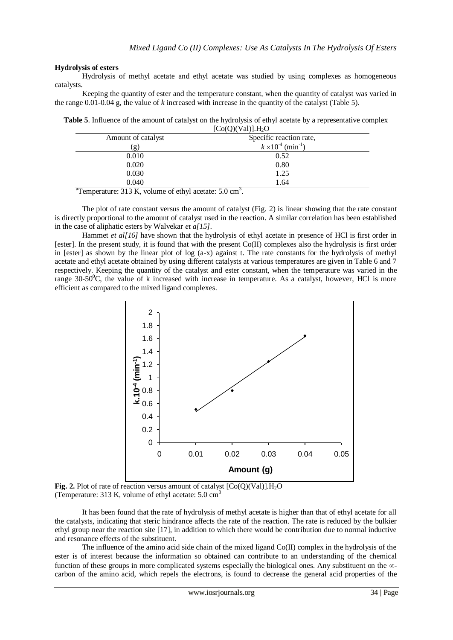## **Hydrolysis of esters**

Hydrolysis of methyl acetate and ethyl acetate was studied by using complexes as homogeneous catalysts.

Keeping the quantity of ester and the temperature constant, when the quantity of catalyst was varied in the range 0.01-0.04 g, the value of *k* increased with increase in the quantity of the catalyst (Table 5).

**Table 5**. Influence of the amount of catalyst on the hydrolysis of ethyl acetate by a representative complex  $[Co(O)(Val)]$ . H<sub>2</sub>O

|                    | $1 - 3$ ( $2$ ) ( $3 - 2$ ) $1 - 2$ $2 - 2$ |
|--------------------|---------------------------------------------|
| Amount of catalyst | Specific reaction rate,                     |
| (g)                | $k \times 10^{-4}$ (min <sup>-1</sup> )     |
| 0.010              | 0.52                                        |
| 0.020              | 0.80                                        |
| 0.030              | 1.25                                        |
| 0.040              | 1.64                                        |

<sup>a</sup>Temperature: 313 K, volume of ethyl acetate: 5.0 cm<sup>3</sup>.

The plot of rate constant versus the amount of catalyst (Fig. 2) is linear showing that the rate constant is directly proportional to the amount of catalyst used in the reaction. A similar correlation has been established in the case of aliphatic esters by Walvekar *et a[15]*.

Hammet *et al[16]* have shown that the hydrolysis of ethyl acetate in presence of HCl is first order in [ester]. In the present study, it is found that with the present Co(II) complexes also the hydrolysis is first order in [ester] as shown by the linear plot of log (a-x) against t. The rate constants for the hydrolysis of methyl acetate and ethyl acetate obtained by using different catalysts at various temperatures are given in Table 6 and 7 respectively. Keeping the quantity of the catalyst and ester constant, when the temperature was varied in the range  $30-50^{\circ}$ C, the value of k increased with increase in temperature. As a catalyst, however, HCl is more efficient as compared to the mixed ligand complexes.



**Fig. 2.** Plot of rate of reaction versus amount of catalyst  $[Co(Q)(Val)]$ .  $H_2O$ (Temperature: 313 K, volume of ethyl acetate:  $5.0 \text{ cm}^3$ )

It has been found that the rate of hydrolysis of methyl acetate is higher than that of ethyl acetate for all the catalysts, indicating that steric hindrance affects the rate of the reaction. The rate is reduced by the bulkier ethyl group near the reaction site [17], in addition to which there would be contribution due to normal inductive and resonance effects of the substituent.

The influence of the amino acid side chain of the mixed ligand Co(II) complex in the hydrolysis of the ester is of interest because the information so obtained can contribute to an understanding of the chemical function of these groups in more complicated systems especially the biological ones. Any substituent on the  $\infty$ carbon of the amino acid, which repels the electrons, is found to decrease the general acid properties of the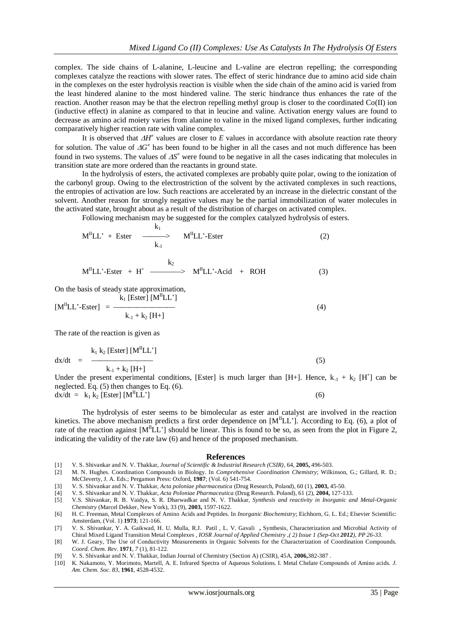complex. The side chains of L-alanine, L-leucine and L-valine are electron repelling; the corresponding complexes catalyze the reactions with slower rates. The effect of steric hindrance due to amino acid side chain in the complexes on the ester hydrolysis reaction is visible when the side chain of the amino acid is varied from the least hindered alanine to the most hindered valine. The steric hindrance thus enhances the rate of the reaction. Another reason may be that the electron repelling methyl group is closer to the coordinated Co(II) ion (inductive effect) in alanine as compared to that in leucine and valine. Activation energy values are found to decrease as amino acid moiety varies from alanine to valine in the mixed ligand complexes, further indicating comparatively higher reaction rate with valine complex.

It is observed that  $\Delta H^*$  values are closer to *E* values in accordance with absolute reaction rate theory for solution. The value of  $\Delta G^*$  has been found to be higher in all the cases and not much difference has been found in two systems. The values of  $\Delta S^2$  were found to be negative in all the cases indicating that molecules in transition state are more ordered than the reactants in ground state.

In the hydrolysis of esters, the activated complexes are probably quite polar, owing to the ionization of the carbonyl group. Owing to the electrostriction of the solvent by the activated complexes in such reactions, the entropies of activation are low. Such reactions are accelerated by an increase in the dielectric constant of the solvent. Another reason for strongly negative values may be the partial immobilization of water molecules in the activated state, brought about as a result of the distribution of charges on activated complex.

Following mechanism may be suggested for the complex catalyzed hydrolysis of esters.

$$
M^{II}LL' + Ester \longrightarrow M^{II}LL' - Ester \tag{2}
$$

$$
M^{II}LL \cdot Ester + H^{+} \xrightarrow{\qquad k_{2}} M^{II}LL \cdot Acid + ROH \tag{3}
$$

On the basis of steady state approximation,

$$
[M^{II}LL' - Ester] = \frac{k_1 [Ester] [M^{II}LL']}{k_1 + k_2 [H+]}
$$
 (4)

The rate of the reaction is given as

$$
dx/dt = \frac{k_1 k_2 [Ester] [MHLL']}{k_{-1} + k_{2} [H+]}
$$
 (5)

Under the present experimental conditions, [Ester] is much larger than [H+]. Hence,  $k_{-1} + k_2$  [H<sup>+</sup>] can be neglected. Eq. (5) then changes to Eq. (6).  $dx/dt = k_1 k_2$  [Ester] [M<sup>II</sup>LL'] (6)

The hydrolysis of ester seems to be bimolecular as ester and catalyst are involved in the reaction kinetics. The above mechanism predicts a first order dependence on  $[M^{\text{II}}LL']$ . According to Eq. (6), a plot of rate of the reaction against  $[M^{\text{II}}LL']$  should be linear. This is found to be so, as seen from the plot in Figure 2, indicating the validity of the rate law (6) and hence of the proposed mechanism.

#### **References**

- [1] V. S. Shivankar and N. V. Thakkar, *Journal of Scientific & Industrial Research (CSIR),* 64, **2005,** 496-503.
- [2] M. N. Hughes. Coordination Compounds in Biology. In *Comprehensive Coordination Chemistry*; Wilkinson, G.; Gillard, R. D.; McCleverty, J. A. Eds.; Pergamon Press: Oxford, **1987**; (Vol. 6) 541-754.
- [3] V. S. Shivankar and N. V. Thakkar, *Acta poloniae pharmaceutica* (Drug Research, Poland), 60 (1), **2003,** 45-50.
- [4] V. S. Shivankar and N. V. Thakkar, *Acta Poloniae Pharmaceutica* (Drug Research. Poland), 61 (2), **2004,** 127-133.
- [5] V.S. Shivankar, R. B. Vaidya, S. R. Dharwadkar and N. V. Thakkar, *Synthesis and reactivity in Inorganic and Metal-Organic Chemistry* (Marcel Dekker, New York), 33 (9), **2003,** 1597-1622.
- [6] H. C. Freeman, Metal Complexes of Amino Acids and Peptides. In *Inorganic Biochemistry*; Eichhorn, G. L. Ed.; Elsevier Scientific: Amsterdam, (Vol. 1) **1973**; 121-166.
- [7] V. S. Shivankar, Y. A. Gaikwad, H. U. Mulla, R.J. Patil , L. V. Gavali **,** Synthesis, Characterization and Microbial Activity of Chiral Mixed Ligand Transition Metal Complexes , *IOSR Journal of Applied Chemistry ,( 2) Issue 1 (Sep-Oct 2012), PP 26-33.*
- [8] W. J. Geary, The Use of Conductivity Measurements in Organic Solvents for the Characterization of Coordination Compounds. *Coord. Chem. Rev*. **1971**, *7* (1), 81-122.
- [9] V. S. Shivankar and N. V. Thakkar, Indian Journal of Chemistry (Section A) (CSIR), 45A, **2006,**382-387 .
- [10] K. Nakamoto, Y. Morimoto, Martell, A. E. Infrared Spectra of Aqueous Solutions. I. Metal Chelate Compounds of Amino acids. *J. Am. Chem. Soc*. *83,* **1961**, 4528-4532.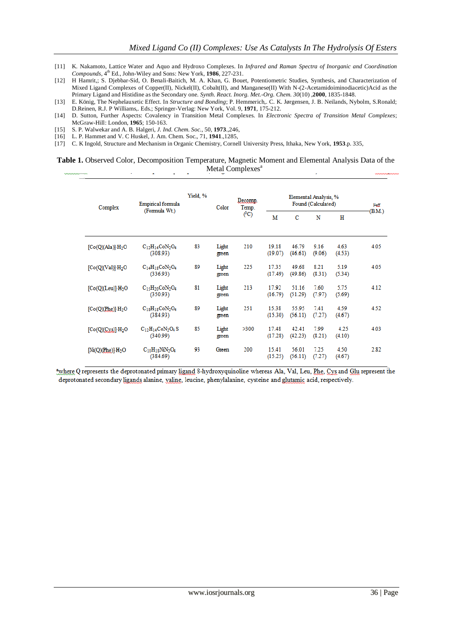- [11] K. Nakamoto, Lattice Water and Aquo and Hydroxo Complexes. In *Infrared and Raman Spectra of Inorganic and Coordination Compounds*,  $4^{\text{th}}$  Ed., John-Wiley and Sons: New York, 1986, 227-231.
- [12] H Hamrit,; S. Djebbar-Sid, O. Benali-Baitich, M. A. Khan, G. Bouet, Potentiometric Studies, Synthesis, and Characterization of Mixed Ligand Complexes of Copper(II), Nickel(II), Cobalt(II), and Manganese(II) With N-(2-Acetamidoiminodiacetic)Acid as the Primary Ligand and Histidine as the Secondary one. *Synth. React. Inorg. Met.-Org. Chem. 30*(10) ,**2000**, 1835-1848.
- [13] E. König, The Nephelauxetic Effect. In *Structure and Bonding*; P. Hemmerich,. C. K. Jørgensen, J. B. Neilands, Nybolm, S.Ronald; D.Reinen, R.J. P Williams,. Eds.; Springer-Verlag: New York, Vol. 9, **1971**, 175-212.
- [14] D. Sutton, Further Aspects: Covalency in Transition Metal Complexes. In *Electronic Spectra of Transition Metal Complexes*; McGraw-Hill: London, **1965**; 150-163.
- [15] S. P. Walwekar and A. B. Halgeri, *J. Ind. Chem. Soc.,* 50, **1973**.,246,
- [16] L. P. Hammet and V. C Huskel, J. Am. Chem. Soc., 71, **1941**.,1285,
- [17] C. K Ingold, Structure and Mechanism in Organic Chemistry, Cornell University Press, Ithaka, New York, **1953**.p. 335,

#### **Table 1.** Observed Color, Decomposition Temperature, Magnetic Moment and Elemental Analysis Data of the Metal Complexes<sup>a</sup>

| Complex                       | <b>Empirical formula</b>            | Yield, % | Color          | Decomp.<br>Temp. |                  | Heff             |                |                |        |
|-------------------------------|-------------------------------------|----------|----------------|------------------|------------------|------------------|----------------|----------------|--------|
|                               | (Formula Wt.)                       |          |                | $(^{0}C)$        | M                | C                | N              | н              | (B.M.) |
| [Co(Q)(Ala)]·H <sub>2</sub> O | $C_{12}H_{14}CoN_2O_4$<br>(308.93)  | 83       | Light<br>green | 210              | 19.18<br>(19.07) | 46.79<br>(46.61) | 9.16<br>(9.06) | 4.63<br>(4.53) | 4.05   |
| [Co(Q)(Val)]·H <sub>2</sub> O | $C_{14}H_{18}CoN_2O_4$<br>(336.93)  | 89       | Light<br>green | 225              | 17.35<br>(17.49) | 49.68<br>(49.86) | 8.21<br>(8.31) | 5.19<br>(5.34) | 4.05   |
| [Co(Q)(Leu)]·H <sub>2</sub> O | $C_{15}H_{20}CoN_2O_4$<br>(350.93)  | 81       | Light<br>green | 213              | 17.92<br>(16.79) | 51.16<br>(51.29) | 7.60<br>(7.97) | 5.75<br>(5.69) | 4.12   |
| [Co(Q)(Rhe)]·H <sub>2</sub> O | $C_{18}H_{18}CoN_2O_4$<br>(384.93)  | 89       | Light<br>green | 251              | 15.38<br>(15.30) | 55.95<br>(56.11) | 7.41<br>(7.27) | 4.59<br>(4.67) | 4.52   |
| [Co(Q)(Cys)]·H <sub>2</sub> O | $C_{12}H_{14}CoN_2O_4S$<br>(340.99) | 85       | Light<br>green | >300             | 17.48<br>(17.28) | 42.41<br>(42.23) | 7.99<br>(8.21) | 4.25<br>(4.10) | 4.03   |
| $[Ni(Q)(Rhe)]H_2O$            | $C_{18}H_{18}NiN_2O_4$<br>(384.69)  | 93       | Green          | 200              | 15.41<br>(15.25) | 56.01<br>(56.11) | 7.25<br>(7.27) | 4.50<br>(4.67) | 2.82   |

awhere Q represents the deprotonated primary ligand 8-hydroxyquinoline whereas Ala, Val, Leu, Phe, Cys and Glu represent the deprotonated secondary ligands alanine, yaline, leucine, phenylalanine, cysteine and glutamic acid, respectively.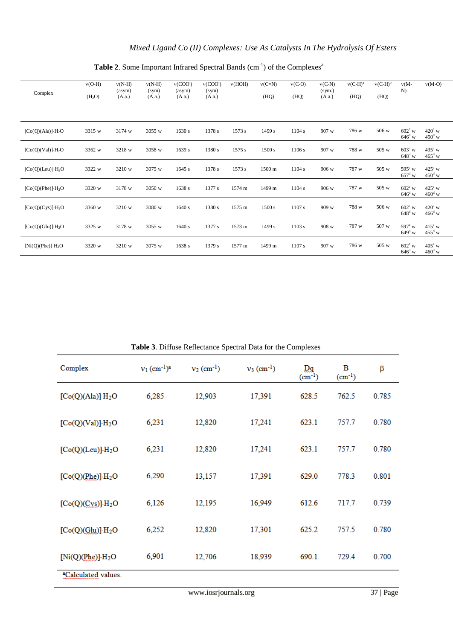| Complex                       | $v(O-H)$<br>(H <sub>2</sub> O) | $v(N-H)$<br>(asym)<br>(A.a.) | $v(N-H)$<br>(sym)<br>(A.a.) | v(COO <sup>2</sup> )<br>(asym)<br>(A.a.) | v(COO <sup>3</sup> )<br>(sym)<br>(A.a.) | v(HOH)   | $v(C=N)$<br>(HQ) | $v(C-O)$<br>(HQ) | $v(C-N)$<br>(sym.)<br>(A.a.) | $v(C-H)^a$<br>(HQ) | $v(C-H)^b$<br>(HQ) | $v(M -$<br>N)                           | $v(M-O)$                           |
|-------------------------------|--------------------------------|------------------------------|-----------------------------|------------------------------------------|-----------------------------------------|----------|------------------|------------------|------------------------------|--------------------|--------------------|-----------------------------------------|------------------------------------|
|                               |                                |                              |                             |                                          |                                         |          |                  |                  |                              |                    |                    |                                         |                                    |
| $[Co(Q)(A1a)] \cdot H_2O$     | 3315 w                         | 3174 w                       | 3055 w                      | 1630 s                                   | 1378 s                                  | 1573 s   | 1499 s           | 1104 s           | 907 w                        | 786 w              | 506 w              | $602^{\circ}$ w<br>$646^{\rm d}$ w      | $420^{\circ}$ w<br>$450^{\rm d}$ w |
| $[Co(Q)(Val)] \cdot H_2O$     | 3362 w                         | 3218 w                       | 3058 w                      | 1639 s                                   | 1380 s                                  | $1575$ s | 1500 s           | 1106 s           | 907 w                        | 788 w              | 505 w              | $603^{\circ}$ w<br>$648^{\mathrm{d}}$ w | $435^{\circ}$ w<br>$465^{\rm d}$ w |
| $[Co(Q)(Leu)] \cdot H_2O$     | 3322 w                         | 3210 w                       | 3075 w                      | 1645 s                                   | 1378 s                                  | 1573 s   | 1500 m           | 1104 s           | 906 w                        | 787 w              | 505 w              | $595^{\circ}$ w<br>$657^{\mathrm{d}}$ w | $425^{\circ}$ w<br>$450^{\rm d}$ w |
| $[Co(Q)(Phe)] \cdot H_2O$     | 3320 w                         | 3178 w                       | 3050 w                      | 1638 s                                   | 1377 s                                  | 1574 m   | 1499 m           | 1104 s           | 906 w                        | 787 w              | 505 w              | $602^{\circ}$ w<br>$646^{\rm d}$ w      | $425^{\circ}$ w<br>$460^{\rm d}$ w |
| [Co(Q)(Cys)]·H <sub>2</sub> O | 3360 w                         | 3210 w                       | 3080 w                      | 1640 s                                   | 1380 s                                  | 1575 m   | 1500 s           | 1107 s           | 909 w                        | 788 w              | 506 w              | $602^{\circ}$ w<br>$648^{\rm d}$ w      | $420^{\circ}$ w<br>$466^{\rm d}$ w |
| $[Co(Q)(Glu)] \cdot H_2O$     | 3325 w                         | 3178 w                       | 3055 w                      | 1640 s                                   | 1377 s                                  | 1573 m   | 1499 s           | 1103 s           | 908 w                        | 787 w              | 507 w              | $597^{\circ}$ w<br>$649^{\mathrm{d}}$ w | $415^{\circ}$ w<br>$455^{\rm d}$ w |
| $[Ni(Q)(Phe)] \cdot H_2O$     | 3320 w                         | 3210 w                       | 3075 w                      | 1638 s                                   | 1379 s                                  | 1577 m   | 1499 m           | $1107$ s         | 907 w                        | 786 w              | 505 w              | $602^{\circ}$ w<br>$646^{\rm d}$ w      | $405^{\circ}$ w<br>$460^{\rm d}$ w |

## Table 2. Some Important Infrared Spectral Bands (cm<sup>-1</sup>) of the Complexes<sup>a</sup>

| <b>Table 5.</b> Diffuse Kenetiance Specifial Data for the Complexes |                                        |                           |                           |                   |                  |       |  |  |
|---------------------------------------------------------------------|----------------------------------------|---------------------------|---------------------------|-------------------|------------------|-------|--|--|
| Complex                                                             | $v_1$ (cm <sup>-1</sup> ) <sup>a</sup> | $v_2$ (cm <sup>-1</sup> ) | $v_3$ (cm <sup>-1</sup> ) | Dя<br>$(cm^{-1})$ | в<br>$(cm^{-1})$ | β     |  |  |
| [Co(Q)(A1a)]·H <sub>2</sub> O                                       | 6,285                                  | 12,903                    | 17,391                    | 628.5             | 762.5            | 0.785 |  |  |
| [Co(Q)(Val)]·H <sub>2</sub> O                                       | 6,231                                  | 12,820                    | 17,241                    | 623.1             | 757.7            | 0.780 |  |  |
| [Co(Q)(Leu)]·H <sub>2</sub> O                                       | 6,231                                  | 12,820                    | 17,241                    | 623.1             | 757.7            | 0.780 |  |  |
| [Co(Q)(Phe)]·H <sub>2</sub> O                                       | 6,290                                  | 13,157                    | 17,391                    | 629.0             | 778.3            | 0.801 |  |  |
| [Co(Q)(Cys)]·H <sub>2</sub> O                                       | 6,126                                  | 12,195                    | 16,949                    | 612.6             | 717.7            | 0.739 |  |  |
| [Co(Q)(Glu)]·H <sub>2</sub> O                                       | 6,252                                  | 12,820                    | 17,301                    | 625.2             | 757.5            | 0.780 |  |  |
| [Ni(Q)(Phe)]·H <sub>2</sub> O                                       | 6,901                                  | 12,706                    | 18,939                    | 690.1             | 729.4            | 0.700 |  |  |
| <sup>a</sup> Calculated values.                                     |                                        |                           |                           |                   |                  |       |  |  |

**Table 3**. Diffuse Reflectance Spectral Data for the Complexes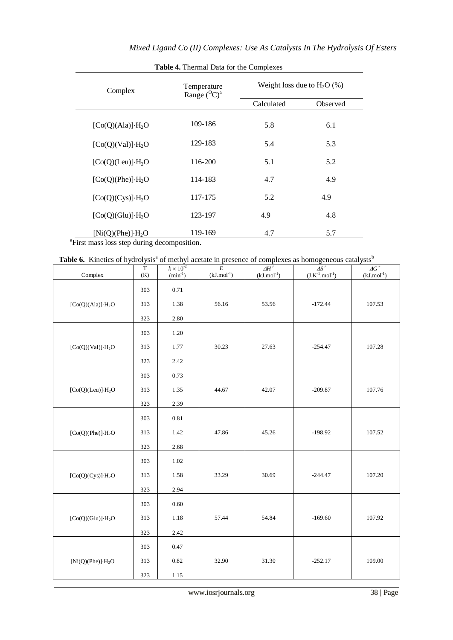|                           | Table 4. Thermal Data for the Complexes |                               |          |  |
|---------------------------|-----------------------------------------|-------------------------------|----------|--|
| Complex                   | Temperature<br>Range $({}^{0}C)^{a}$    | Weight loss due to $H_2O$ (%) |          |  |
|                           |                                         | Calculated                    | Observed |  |
| $[Co(Q)(Ala)] \cdot H_2O$ | 109-186                                 | 5.8                           | 6.1      |  |
| $[Co(Q)(Val)] \cdot H_2O$ | 129-183                                 | 5.4                           | 5.3      |  |
| $[Co(Q)(Leu)] \cdot H_2O$ | 116-200                                 | 5.1                           | 5.2      |  |
| $[Co(Q)(Phe)] \cdot H_2O$ | 114-183                                 | 4.7                           | 4.9      |  |
| $[Co(Q)(Cys)] \cdot H_2O$ | 117-175                                 | 5.2                           | 4.9      |  |
| $[Co(Q)(Glu)] \cdot H_2O$ | 123-197                                 | 4.9                           | 4.8      |  |
| $[Ni(Q)(Phe)] \cdot H_2O$ | 119-169                                 | 4.7                           | 5.7      |  |

<sup>a</sup>First mass loss step during decomposition.

|  |  |  | <b>Table 6.</b> Kinetics of hydrolysis <sup>a</sup> of methyl acetate in presence of complexes as homogeneous catalysts <sup>b</sup> |
|--|--|--|--------------------------------------------------------------------------------------------------------------------------------------|
|  |  |  |                                                                                                                                      |

| Complex                       | $\overline{T}$<br>(K) | $k \times 10^{-2}$<br>$(min^{-1})$ | $\frac{1}{E}$<br>$(kJ$ .mol <sup>-1</sup> ) | $\overline{AH}^*$<br>$(kJ$ .mol <sup>-1</sup> ) | $\frac{\Delta S^{\neq}}{(J.K^{-1}.mol^{-1})}$ | $\varDelta G^{\,\neq}$<br>$(kJ$ .mol <sup>-1</sup> ) |
|-------------------------------|-----------------------|------------------------------------|---------------------------------------------|-------------------------------------------------|-----------------------------------------------|------------------------------------------------------|
|                               | 303                   | $0.71\,$                           |                                             |                                                 |                                               |                                                      |
| $[Co(Q)(Ala)]\cdot H_2O$      | 313                   | 1.38                               | 56.16                                       | 53.56                                           | $-172.44$                                     | 107.53                                               |
|                               | 323                   | 2.80                               |                                             |                                                 |                                               |                                                      |
|                               | 303                   | 1.20                               |                                             |                                                 |                                               |                                                      |
| $[Co(Q)(Val)]\cdot H_2O$      | 313                   | 1.77                               | 30.23                                       | 27.63                                           | $-254.47$                                     | 107.28                                               |
|                               | 323                   | 2.42                               |                                             |                                                 |                                               |                                                      |
|                               | 303                   | 0.73                               |                                             |                                                 |                                               |                                                      |
| [Co(Q)(Leu)]·H <sub>2</sub> O | 313                   | 1.35                               | 44.67                                       | 42.07                                           | $-209.87$                                     | 107.76                                               |
|                               | 323                   | 2.39                               |                                             |                                                 |                                               |                                                      |
|                               | 303                   | 0.81                               |                                             |                                                 |                                               |                                                      |
| [Co(Q)(Phe)]·H <sub>2</sub> O | 313                   | 1.42                               | 47.86                                       | 45.26                                           | $-198.92$                                     | 107.52                                               |
|                               | 323                   | 2.68                               |                                             |                                                 |                                               |                                                      |
|                               | 303                   | 1.02                               |                                             |                                                 |                                               |                                                      |
| $[Co(Q)(Cys)]\cdot H_2O$      | 313                   | 1.58                               | 33.29                                       | 30.69                                           | $-244.47$                                     | 107.20                                               |
|                               | 323                   | 2.94                               |                                             |                                                 |                                               |                                                      |
|                               | 303                   | 0.60                               |                                             |                                                 |                                               |                                                      |
| [Co(Q)(Glu)]·H <sub>2</sub> O | 313                   | 1.18                               | 57.44                                       | 54.84                                           | $-169.60$                                     | 107.92                                               |
|                               | 323                   | 2.42                               |                                             |                                                 |                                               |                                                      |
|                               | 303                   | 0.47                               |                                             |                                                 |                                               |                                                      |
| [Ni(Q)(Phe)]·H <sub>2</sub> O | 313                   | $0.82\,$                           | 32.90                                       | 31.30                                           | $-252.17$                                     | 109.00                                               |
|                               | 323                   | 1.15                               |                                             |                                                 |                                               |                                                      |